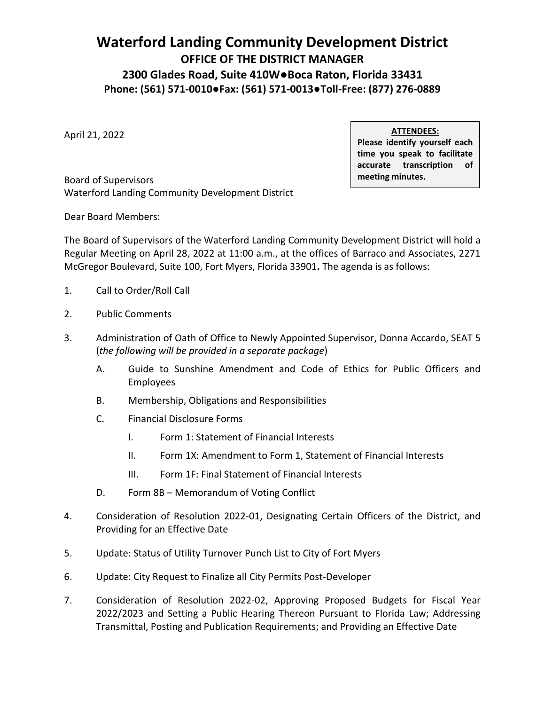## **April 28, 2022 BOARD OF SUPERVISORS REGULAR MEETING AGENDA**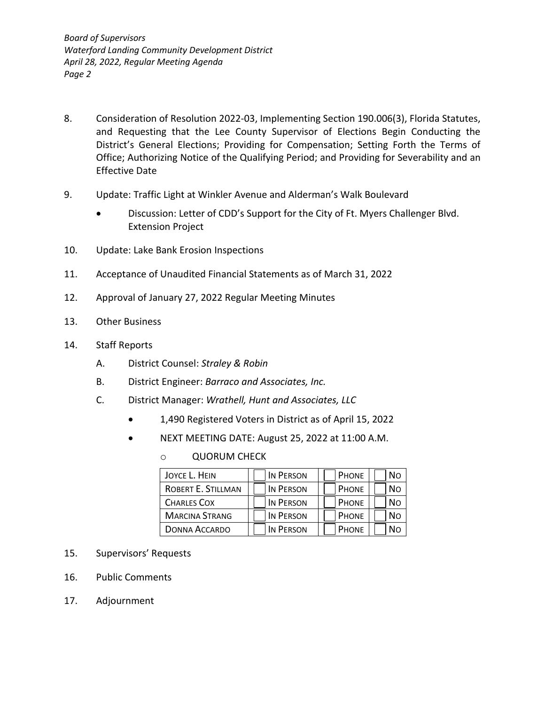#### **Waterford Landing Community Development District OFFICE OF THE DISTRICT MANAGER 2300 Glades Road, Suite 410W●Boca Raton, Florida 33431 Phone: (561) 571-0010●Fax: (561) 571-0013●Toll-Free: (877) 276-0889**

April 21, 2022

**ATTENDEES:**

**Please identify yourself each time you speak to facilitate accurate transcription of meeting minutes.**

Board of Supervisors Waterford Landing Community Development District

Dear Board Members:

The Board of Supervisors of the Waterford Landing Community Development District will hold a Regular Meeting on April 28, 2022 at 11:00 a.m., at the offices of Barraco and Associates, 2271 McGregor Boulevard, Suite 100, Fort Myers, Florida 33901**.** The agenda is as follows:

- 1. Call to Order/Roll Call
- 2. Public Comments
- 3. Administration of Oath of Office to Newly Appointed Supervisor, Donna Accardo, SEAT 5 (*the following will be provided in a separate package*)
	- A. Guide to Sunshine Amendment and Code of Ethics for Public Officers and Employees
	- B. Membership, Obligations and Responsibilities
	- C. Financial Disclosure Forms
		- I. Form 1: Statement of Financial Interests
		- II. Form 1X: Amendment to Form 1, Statement of Financial Interests
		- III. Form 1F: Final Statement of Financial Interests
	- D. Form 8B Memorandum of Voting Conflict
- 4. Consideration of Resolution 2022-01, Designating Certain Officers of the District, and Providing for an Effective Date
- 5. Update: Status of Utility Turnover Punch List to City of Fort Myers
- 6. Update: City Request to Finalize all City Permits Post-Developer
- 7. Consideration of Resolution 2022-02, Approving Proposed Budgets for Fiscal Year 2022/2023 and Setting a Public Hearing Thereon Pursuant to Florida Law; Addressing Transmittal, Posting and Publication Requirements; and Providing an Effective Date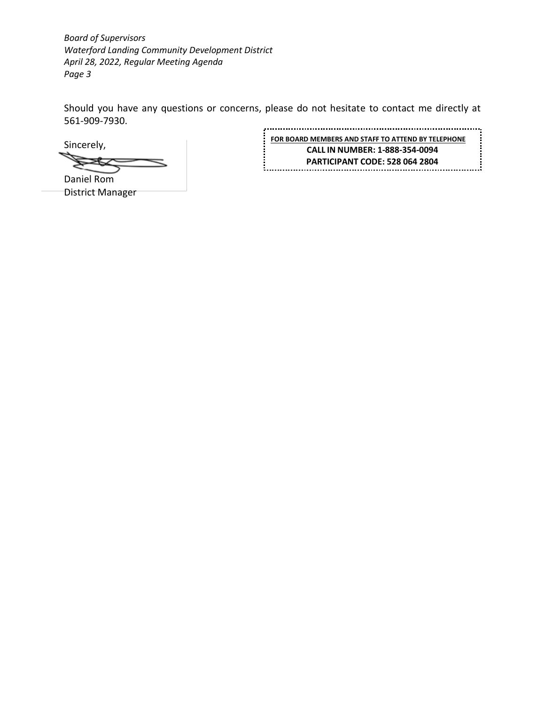*Board of Supervisors Waterford Landing Community Development District April 28, 2022, Regular Meeting Agenda Page 2*

- 8. Consideration of Resolution 2022-03, Implementing Section 190.006(3), Florida Statutes, and Requesting that the Lee County Supervisor of Elections Begin Conducting the District's General Elections; Providing for Compensation; Setting Forth the Terms of Office; Authorizing Notice of the Qualifying Period; and Providing for Severability and an Effective Date
- 9. Update: Traffic Light at Winkler Avenue and Alderman's Walk Boulevard
	- Discussion: Letter of CDD's Support for the City of Ft. Myers Challenger Blvd. Extension Project
- 10. Update: Lake Bank Erosion Inspections
- 11. Acceptance of Unaudited Financial Statements as of March 31, 2022
- 12. Approval of January 27, 2022 Regular Meeting Minutes
- 13. Other Business
- 14. Staff Reports
	- A. District Counsel: *Straley & Robin*
	- B. District Engineer: *Barraco and Associates, Inc.*
	- C. District Manager: *Wrathell, Hunt and Associates, LLC*
		- 1,490 Registered Voters in District as of April 15, 2022
		- NEXT MEETING DATE: August 25, 2022 at 11:00 A.M.
			- o QUORUM CHECK

| JOYCE L. HEIN         | IN PERSON        | PHONE        | No |
|-----------------------|------------------|--------------|----|
| ROBERT E. STILLMAN    | <b>IN PERSON</b> | <b>PHONE</b> | No |
| <b>CHARLES COX</b>    | <b>IN PERSON</b> | <b>PHONE</b> | Nο |
| <b>MARCINA STRANG</b> | IN PERSON        | <b>PHONE</b> | Nο |
| DONNA ACCARDO         | <b>IN PERSON</b> | <b>PHONE</b> | N٥ |

- 15. Supervisors' Requests
- 16. Public Comments
- 17. Adjournment